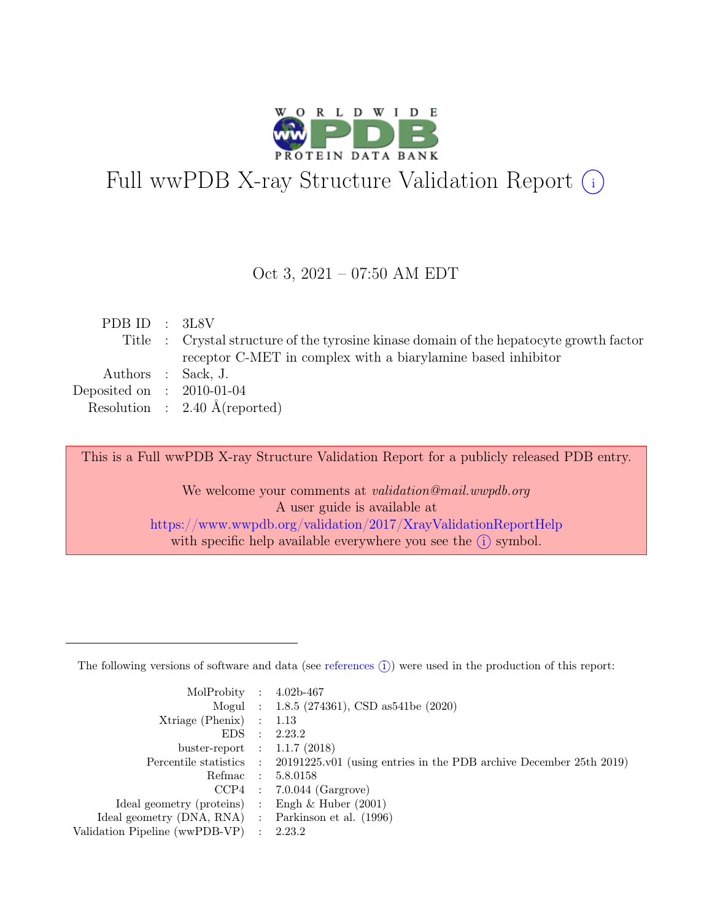

# Full wwPDB X-ray Structure Validation Report  $(i)$

#### Oct 3, 2021 – 07:50 AM EDT

| PDB ID : $3L8V$             |                                                                                         |
|-----------------------------|-----------------------------------------------------------------------------------------|
|                             | Title : Crystal structure of the tyrosine kinase domain of the hepatocyte growth factor |
|                             | receptor C-MET in complex with a biarylamine based inhibitor                            |
|                             | Authors : Sack, J.                                                                      |
| Deposited on : $2010-01-04$ |                                                                                         |
|                             | Resolution : $2.40 \text{ Å}$ (reported)                                                |

This is a Full wwPDB X-ray Structure Validation Report for a publicly released PDB entry.

We welcome your comments at *validation@mail.wwpdb.org* A user guide is available at <https://www.wwpdb.org/validation/2017/XrayValidationReportHelp> with specific help available everywhere you see the  $(i)$  symbol.

The following versions of software and data (see [references](https://www.wwpdb.org/validation/2017/XrayValidationReportHelp#references)  $(i)$ ) were used in the production of this report:

| MolProbity : $4.02b-467$                            |                                                                                            |
|-----------------------------------------------------|--------------------------------------------------------------------------------------------|
|                                                     |                                                                                            |
|                                                     | Mogul : 1.8.5 (274361), CSD as 541be (2020)                                                |
| $Xtriangle (Phenix)$ : 1.13                         |                                                                                            |
|                                                     | EDS : 2.23.2                                                                               |
| buster-report : $1.1.7$ (2018)                      |                                                                                            |
|                                                     | Percentile statistics : 20191225.v01 (using entries in the PDB archive December 25th 2019) |
| Refmac : 5.8.0158                                   |                                                                                            |
|                                                     | $CCP4$ : 7.0.044 (Gargrove)                                                                |
| Ideal geometry (proteins) : Engh $\&$ Huber (2001)  |                                                                                            |
| Ideal geometry (DNA, RNA) : Parkinson et al. (1996) |                                                                                            |
| Validation Pipeline (wwPDB-VP) : 2.23.2             |                                                                                            |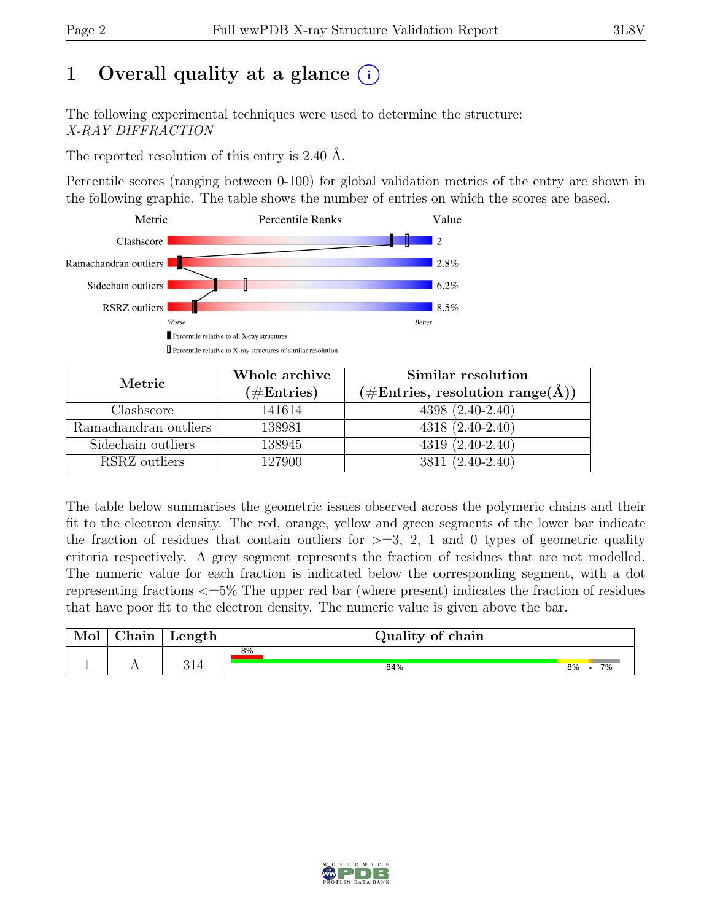# 1 Overall quality at a glance  $(i)$

The following experimental techniques were used to determine the structure: X-RAY DIFFRACTION

The reported resolution of this entry is 2.40 Å.

Percentile scores (ranging between 0-100) for global validation metrics of the entry are shown in the following graphic. The table shows the number of entries on which the scores are based.



| Metric                | Whole archive | Similar resolution                                        |  |  |
|-----------------------|---------------|-----------------------------------------------------------|--|--|
|                       | $(\#Entries)$ | $(\# \text{Entries}, \text{ resolution range}(\text{A}))$ |  |  |
| Clashscore            | 141614        | $4398(2.40-2.40)$                                         |  |  |
| Ramachandran outliers | 138981        | $4318(2.40-2.40)$                                         |  |  |
| Sidechain outliers    | 138945        | $4319(2.40-2.40)$                                         |  |  |
| RSRZ outliers         | 127900        | 3811 (2.40-2.40)                                          |  |  |

The table below summarises the geometric issues observed across the polymeric chains and their fit to the electron density. The red, orange, yellow and green segments of the lower bar indicate the fraction of residues that contain outliers for  $>=$  3, 2, 1 and 0 types of geometric quality criteria respectively. A grey segment represents the fraction of residues that are not modelled. The numeric value for each fraction is indicated below the corresponding segment, with a dot representing fractions <=5% The upper red bar (where present) indicates the fraction of residues that have poor fit to the electron density. The numeric value is given above the bar.

| Mol | $\text{Chain}$ | Length | Quality of chain |           |
|-----|----------------|--------|------------------|-----------|
|     |                | 211    | 8%<br>84%        | 8%<br>70/ |

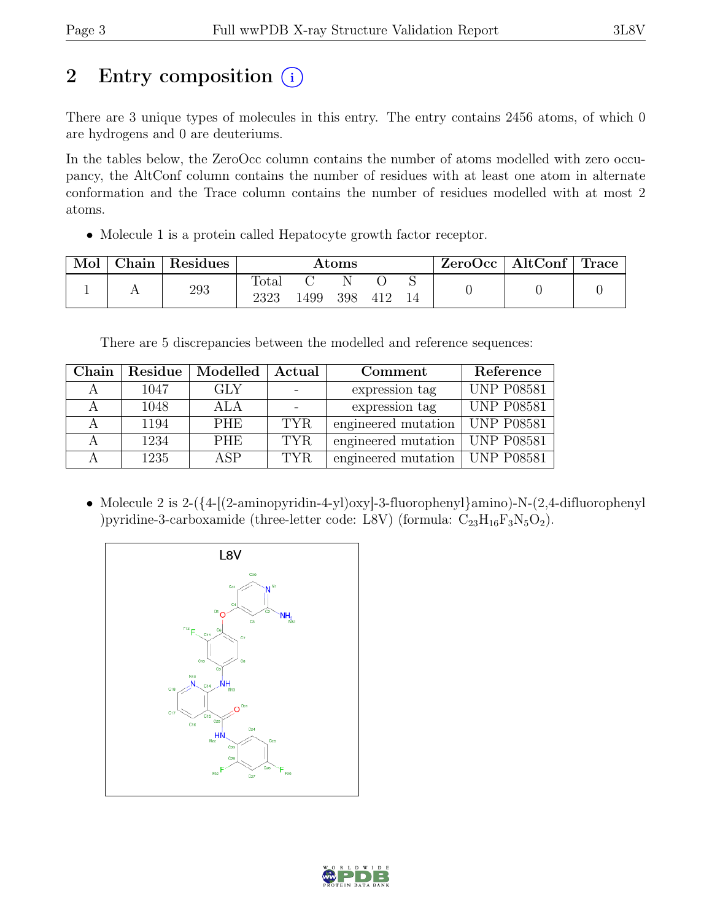# 2 Entry composition (i)

There are 3 unique types of molecules in this entry. The entry contains 2456 atoms, of which 0 are hydrogens and 0 are deuteriums.

In the tables below, the ZeroOcc column contains the number of atoms modelled with zero occupancy, the AltConf column contains the number of residues with at least one atom in alternate conformation and the Trace column contains the number of residues modelled with at most 2 atoms.

• Molecule 1 is a protein called Hepatocyte growth factor receptor.

| Mol | Chain | Residues | $\rm{Atoms}$  |      |          |     | ZeroOcc | $\mid$ AltConf $\mid$ Trace |  |  |
|-----|-------|----------|---------------|------|----------|-----|---------|-----------------------------|--|--|
|     |       | 293      | Total<br>2323 | 1499 | N<br>398 | 412 |         |                             |  |  |

There are 5 discrepancies between the modelled and reference sequences:

| Chain | Residue | Modelled   | Actual     | Comment                          | Reference         |
|-------|---------|------------|------------|----------------------------------|-------------------|
| А     | 1047    | <b>GLY</b> |            | expression tag                   | <b>UNP P08581</b> |
| А     | 1048    | ALA        |            | expression tag                   | <b>UNP P08581</b> |
| А     | 1194    | <b>PHE</b> | TYR.       | engineered mutation              | UNP P08581        |
| А     | 1234    | <b>PHE</b> | <b>TYR</b> | engineered mutation              | <b>UNP P08581</b> |
|       | 1235    | ASP        | TYR.       | engineered mutation   UNP P08581 |                   |

• Molecule 2 is 2-( $\{4-[2\text{-aminopyridin-4-yl)oxy]-3\text{-fluorophenyl}\amino)-N-(2,4\text{-difluorophenyl}\}$ )pyridine-3-carboxamide (three-letter code: L8V) (formula:  $C_{23}H_{16}F_3N_5O_2$ ).



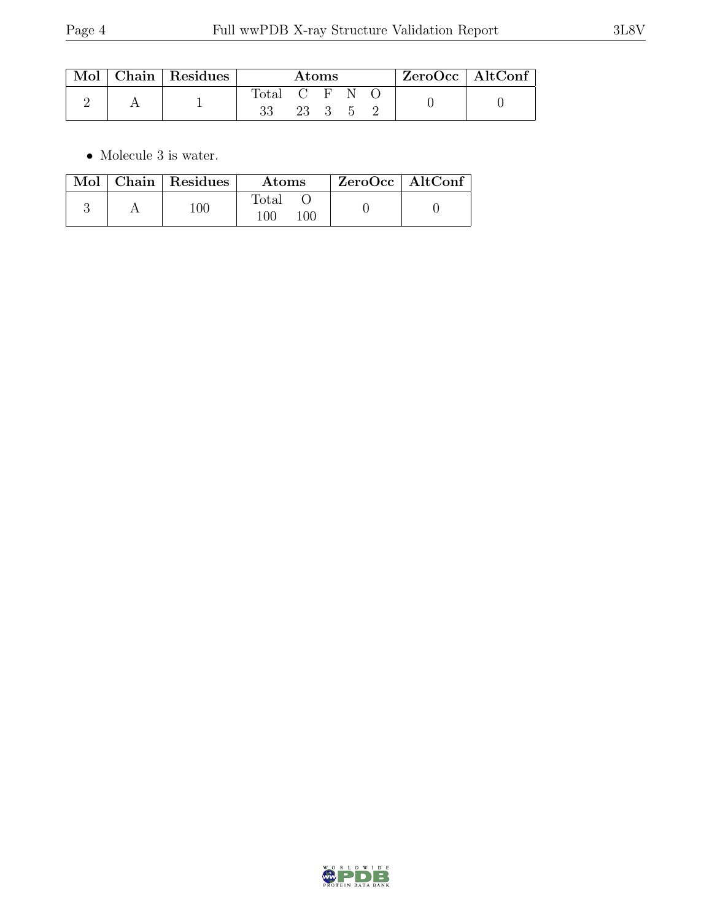|  | Mol   Chain   Residues | Atoms       |      |  |  | $ZeroOcc \mid AltConf$ |  |  |
|--|------------------------|-------------|------|--|--|------------------------|--|--|
|  |                        | Total C F N | 23 3 |  |  |                        |  |  |

 $\bullet\,$  Molecule 3 is water.

| $\operatorname{Mol}$ | Chain Residues | Atoms         |     | $ZeroOcc$   AltConf |  |
|----------------------|----------------|---------------|-----|---------------------|--|
|                      | 100            | Total<br>100. | 10C |                     |  |

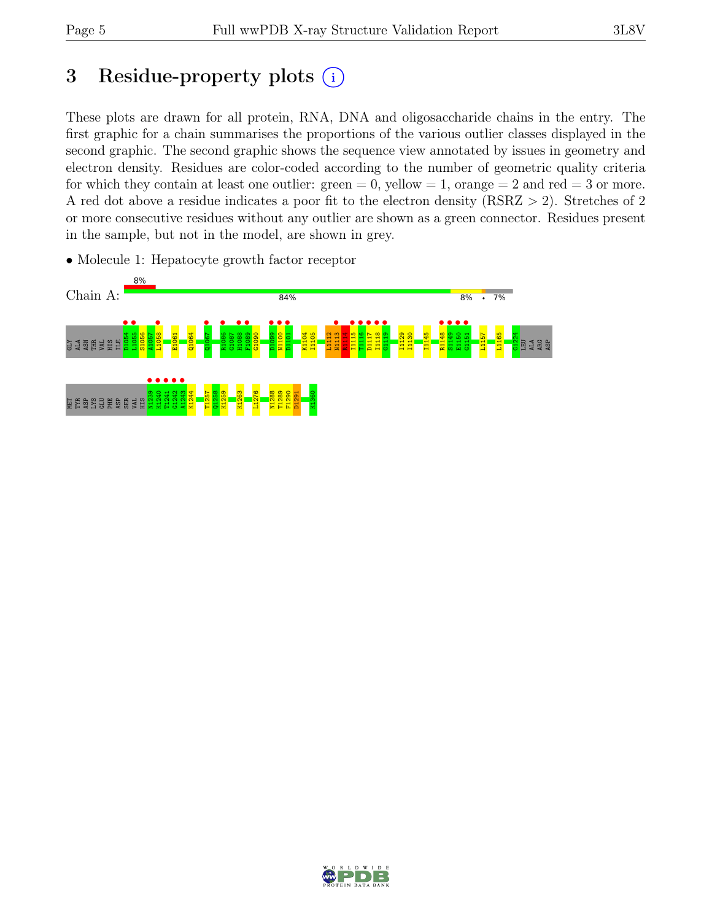# 3 Residue-property plots  $(i)$

These plots are drawn for all protein, RNA, DNA and oligosaccharide chains in the entry. The first graphic for a chain summarises the proportions of the various outlier classes displayed in the second graphic. The second graphic shows the sequence view annotated by issues in geometry and electron density. Residues are color-coded according to the number of geometric quality criteria for which they contain at least one outlier:  $green = 0$ , yellow  $= 1$ , orange  $= 2$  and red  $= 3$  or more. A red dot above a residue indicates a poor fit to the electron density (RSRZ > 2). Stretches of 2 or more consecutive residues without any outlier are shown as a green connector. Residues present in the sample, but not in the model, are shown in grey.



• Molecule 1: Hepatocyte growth factor receptor

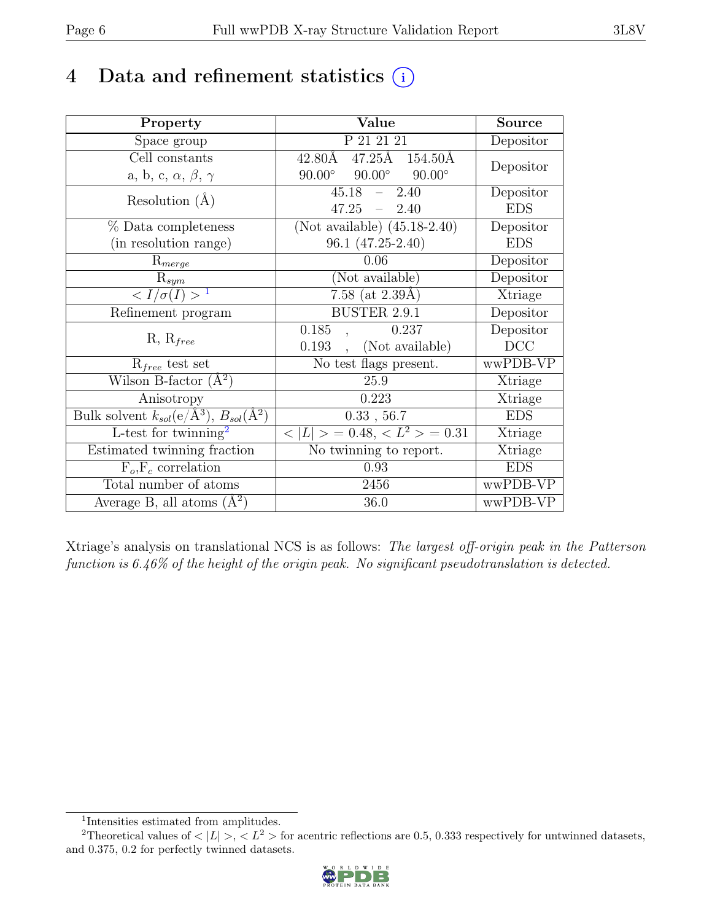# 4 Data and refinement statistics  $(i)$

| Property                                                             | Value                                           | <b>Source</b>  |
|----------------------------------------------------------------------|-------------------------------------------------|----------------|
| Space group                                                          | P 21 21 21                                      | Depositor      |
| Cell constants                                                       | $47.25\text{\AA}$ $154.50\text{\AA}$<br>42.80Å  | Depositor      |
| a, b, c, $\alpha$ , $\beta$ , $\gamma$                               | $90.00^\circ$<br>$90.00^\circ$<br>$90.00^\circ$ |                |
| Resolution $(A)$                                                     | $-2.40$<br>45.18                                | Depositor      |
|                                                                      | $47.25 - 2.40$                                  | <b>EDS</b>     |
| $%$ Data completeness                                                | (Not available) $\overline{(45.18-2.40)}$       | Depositor      |
| (in resolution range)                                                | 96.1 (47.25-2.40)                               | <b>EDS</b>     |
| $R_{merge}$                                                          | 0.06                                            | Depositor      |
| $\mathrm{R}_{sym}$                                                   | (Not available)                                 | Depositor      |
| $\langle I/\sigma(I) \rangle$ <sup>1</sup>                           | 7.58 (at $2.39\text{\AA})$                      | Xtriage        |
| Refinement program                                                   | <b>BUSTER 2.9.1</b>                             | Depositor      |
| $R, R_{free}$                                                        | 0.185<br>0.237                                  | Depositor      |
|                                                                      | (Not available)<br>0.193                        | DCC            |
| $R_{free}$ test set                                                  | No test flags present.                          | wwPDB-VP       |
| Wilson B-factor $(A^2)$                                              | 25.9                                            | Xtriage        |
| Anisotropy                                                           | 0.223                                           | Xtriage        |
| Bulk solvent $k_{sol}(e/\mathring{A}^3)$ , $B_{sol}(\mathring{A}^2)$ | 0.33, 56.7                                      | <b>EDS</b>     |
| $L$ -test for twinning <sup>2</sup>                                  | $< L >$ = 0.48, $< L2$ > = 0.31                 | <b>Xtriage</b> |
| Estimated twinning fraction                                          | $\overline{\text{No}}$ twinning to report.      | Xtriage        |
| $F_o, F_c$ correlation                                               | 0.93                                            | <b>EDS</b>     |
| Total number of atoms                                                | 2456                                            | wwPDB-VP       |
| Average B, all atoms $(A^2)$                                         | 36.0                                            | wwPDB-VP       |

Xtriage's analysis on translational NCS is as follows: The largest off-origin peak in the Patterson function is 6.46% of the height of the origin peak. No significant pseudotranslation is detected.

<sup>&</sup>lt;sup>2</sup>Theoretical values of  $\langle |L| \rangle$ ,  $\langle L^2 \rangle$  for acentric reflections are 0.5, 0.333 respectively for untwinned datasets, and 0.375, 0.2 for perfectly twinned datasets.



<span id="page-5-1"></span><span id="page-5-0"></span><sup>1</sup> Intensities estimated from amplitudes.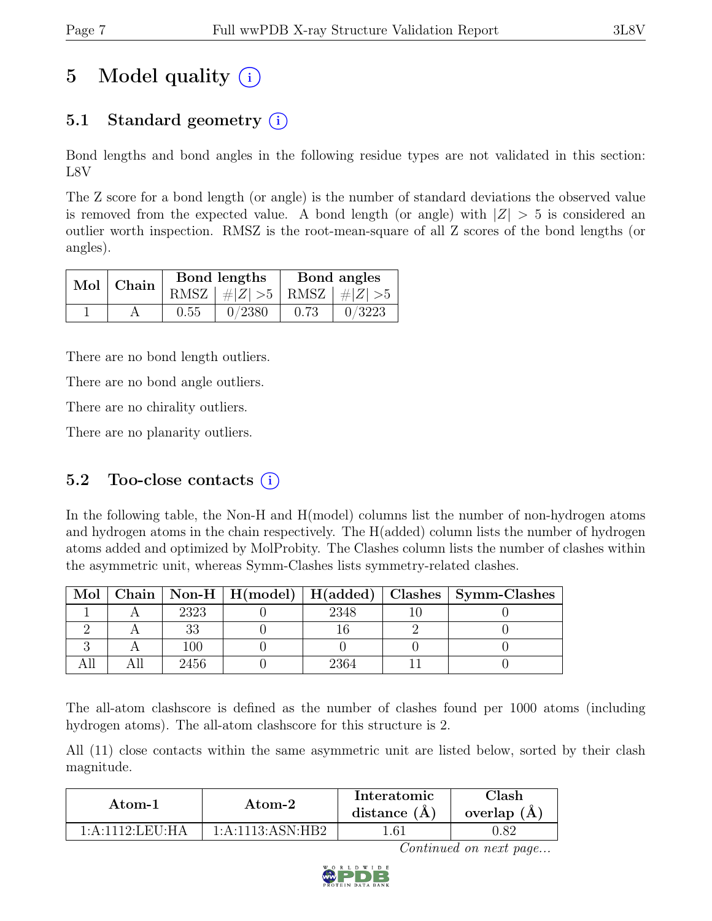# 5 Model quality  $(i)$

## 5.1 Standard geometry  $(i)$

Bond lengths and bond angles in the following residue types are not validated in this section: L8V

The Z score for a bond length (or angle) is the number of standard deviations the observed value is removed from the expected value. A bond length (or angle) with  $|Z| > 5$  is considered an outlier worth inspection. RMSZ is the root-mean-square of all Z scores of the bond lengths (or angles).

| Mol Chain |      | Bond lengths                      | Bond angles |        |  |
|-----------|------|-----------------------------------|-------------|--------|--|
|           |      | RMSZ $ #Z  > 5$   RMSZ $ #Z  > 5$ |             |        |  |
|           | 0.55 | 0/2380                            | 0.73        | 0/3223 |  |

There are no bond length outliers.

There are no bond angle outliers.

There are no chirality outliers.

There are no planarity outliers.

#### 5.2 Too-close contacts  $(i)$

In the following table, the Non-H and H(model) columns list the number of non-hydrogen atoms and hydrogen atoms in the chain respectively. The H(added) column lists the number of hydrogen atoms added and optimized by MolProbity. The Clashes column lists the number of clashes within the asymmetric unit, whereas Symm-Clashes lists symmetry-related clashes.

| Mol |      |      | Chain   Non-H   H(model)   H(added)   Clashes   Symm-Clashes |
|-----|------|------|--------------------------------------------------------------|
|     | 2323 | 2348 |                                                              |
|     |      |      |                                                              |
|     | 100  |      |                                                              |
|     | 2456 | `364 |                                                              |

The all-atom clashscore is defined as the number of clashes found per 1000 atoms (including hydrogen atoms). The all-atom clashscore for this structure is 2.

All (11) close contacts within the same asymmetric unit are listed below, sorted by their clash magnitude.

| Atom-1                          | Atom-2                | Interatomic<br>distance $(A)$ | $\gamma$ lash<br>overlap $(A)$ |
|---------------------------------|-----------------------|-------------------------------|--------------------------------|
| 1: A: 1112: LEU <sub>1</sub> HA | $1:$ A:1113: ASN: HB2 | .61                           |                                |

Continued on next page...

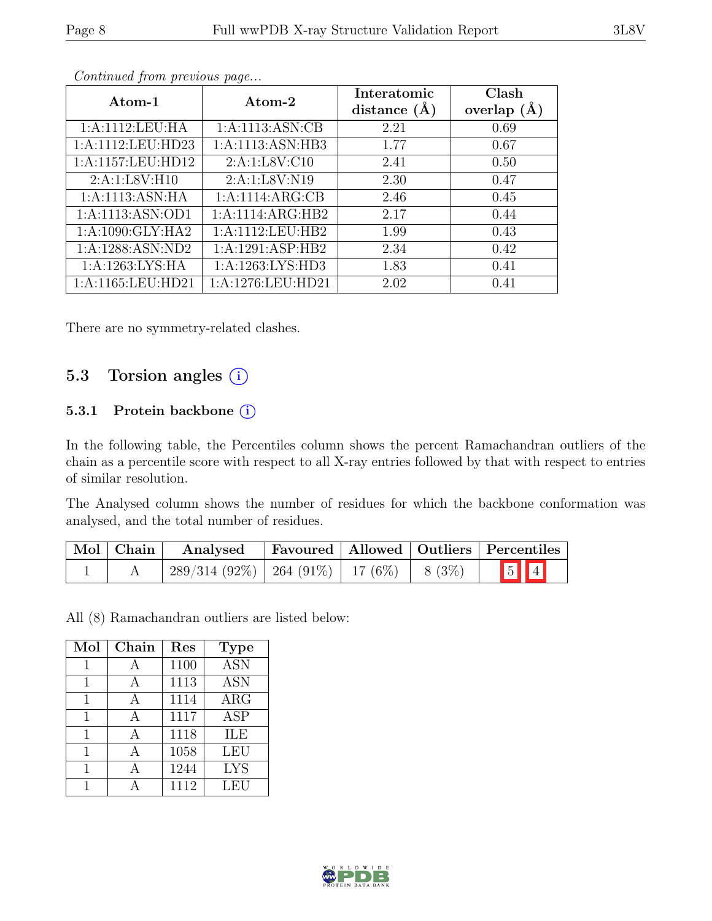| Atom-1               | Atom-2             | Interatomic    | Clash         |
|----------------------|--------------------|----------------|---------------|
|                      |                    | distance $(A)$ | overlap $(A)$ |
| 1:A:1112:LEU:HA      | 1: A:1113: ASN: CB | 2.21           | 0.69          |
| 1:A:1112:LEU:HD23    | 1:A:1113:ASN:HB3   | 1.77           | 0.67          |
| 1:A:1157:LEU:HD12    | 2:A:1:LSV:Cl0      | 2.41           | 0.50          |
| 2:A:1:L8V:H10        | 2:A:1:L8V:N19      | 2.30           | 0.47          |
| 1:A:1113:ASN:HA      | 1:A:1114:ARG:CB    | 2.46           | 0.45          |
| 1:A:1113:ASN:OD1     | 1:A:1114:ARG:HB2   | 2.17           | 0.44          |
| 1:A:1090:GLY:HA2     | 1:A:1112:LEU:HB2   | 1.99           | 0.43          |
| 1:A:1288:ASN:ND2     | 1:A:1291:ASP:HB2   | 2.34           | 0.42          |
| 1: A:1263: LYS: HA   | 1:A:1263:LYS:HD3   | 1.83           | 0.41          |
| 1: A:1165: LEU: HD21 | 1:A:1276:LEU:HD21  | 2.02           | 0.41          |

Continued from previous page...

There are no symmetry-related clashes.

### 5.3 Torsion angles (i)

#### 5.3.1 Protein backbone (i)

In the following table, the Percentiles column shows the percent Ramachandran outliers of the chain as a percentile score with respect to all X-ray entries followed by that with respect to entries of similar resolution.

The Analysed column shows the number of residues for which the backbone conformation was analysed, and the total number of residues.

| $\vert$ Mol $\vert$ Chain $\vert$ | Analysed                                           |  | <b>Favoured   Allowed   Outliers   Percentiles</b> |
|-----------------------------------|----------------------------------------------------|--|----------------------------------------------------|
|                                   | $289/314$ (92\%)   264 (91\%)   17 (6\%)   8 (3\%) |  | $\boxed{5}$ $\boxed{4}$                            |

All (8) Ramachandran outliers are listed below:

| Mol | Chain    | Res  | <b>Type</b> |
|-----|----------|------|-------------|
| 1   | А        | 1100 | <b>ASN</b>  |
| 1   | А        | 1113 | <b>ASN</b>  |
| 1   | $\Delta$ | 1114 | $\rm{ARG}$  |
| 1   |          | 1117 | <b>ASP</b>  |
|     | А        | 1118 | ILE         |
| 1   | А        | 1058 | <b>LEU</b>  |
|     | А        | 1244 | <b>LYS</b>  |
|     |          | 1112 | LEU         |

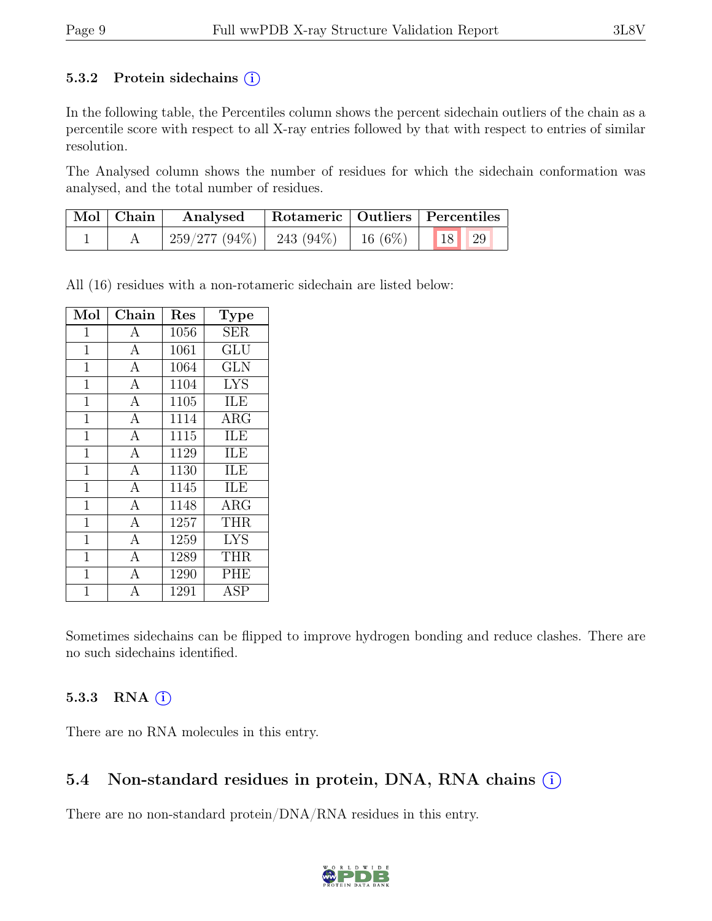#### 5.3.2 Protein sidechains  $(i)$

In the following table, the Percentiles column shows the percent sidechain outliers of the chain as a percentile score with respect to all X-ray entries followed by that with respect to entries of similar resolution.

The Analysed column shows the number of residues for which the sidechain conformation was analysed, and the total number of residues.

| $\mid$ Mol $\mid$ Chain $\mid$ | Analysed                     | Rotameric   Outliers   Percentiles |                      |  |
|--------------------------------|------------------------------|------------------------------------|----------------------|--|
|                                | $259/277(94\%)$   243 (94\%) |                                    | 16 $(6\%)$   18   29 |  |

All (16) residues with a non-rotameric sidechain are listed below:

| Mol          | ${\rm Chain}$      | Res  | <b>Type</b>             |
|--------------|--------------------|------|-------------------------|
| $\mathbf 1$  | А                  | 1056 | <b>SER</b>              |
| $\mathbf{1}$ | $\overline{\rm A}$ | 1061 | $\widetilde{{\rm GLU}}$ |
| $\mathbf{1}$ | $\overline{A}$     | 1064 | <b>GLN</b>              |
| $\mathbf{1}$ | $\mathbf{A}$       | 1104 | <b>LYS</b>              |
| $\mathbf{1}$ | $\overline{A}$     | 1105 | ILE                     |
| $\mathbf{1}$ | $\overline{A}$     | 1114 | $\rm{ARG}$              |
| $\mathbf 1$  | $\overline{A}$     | 1115 | ILE                     |
| $\mathbf{1}$ | $\overline{A}$     | 1129 | ILE                     |
| $\mathbf{1}$ | $\overline{A}$     | 1130 | ILE                     |
| $\mathbf{1}$ | $\overline{A}$     | 1145 | ILE                     |
| $\mathbf{1}$ | $\overline{A}$     | 1148 | $\rm{ARG}$              |
| $\mathbf{1}$ | $\overline{A}$     | 1257 | <b>THR</b>              |
| $\mathbf{1}$ | $\mathbf{A}$       | 1259 | <b>LYS</b>              |
| $\mathbf{1}$ | $\overline{A}$     | 1289 | <b>THR</b>              |
| $\mathbf{1}$ | $\overline{\rm A}$ | 1290 | <b>PHE</b>              |
| 1            |                    | 1291 | $\operatorname{ASP}$    |

Sometimes sidechains can be flipped to improve hydrogen bonding and reduce clashes. There are no such sidechains identified.

#### 5.3.3 RNA  $(i)$

There are no RNA molecules in this entry.

#### 5.4 Non-standard residues in protein, DNA, RNA chains (i)

There are no non-standard protein/DNA/RNA residues in this entry.

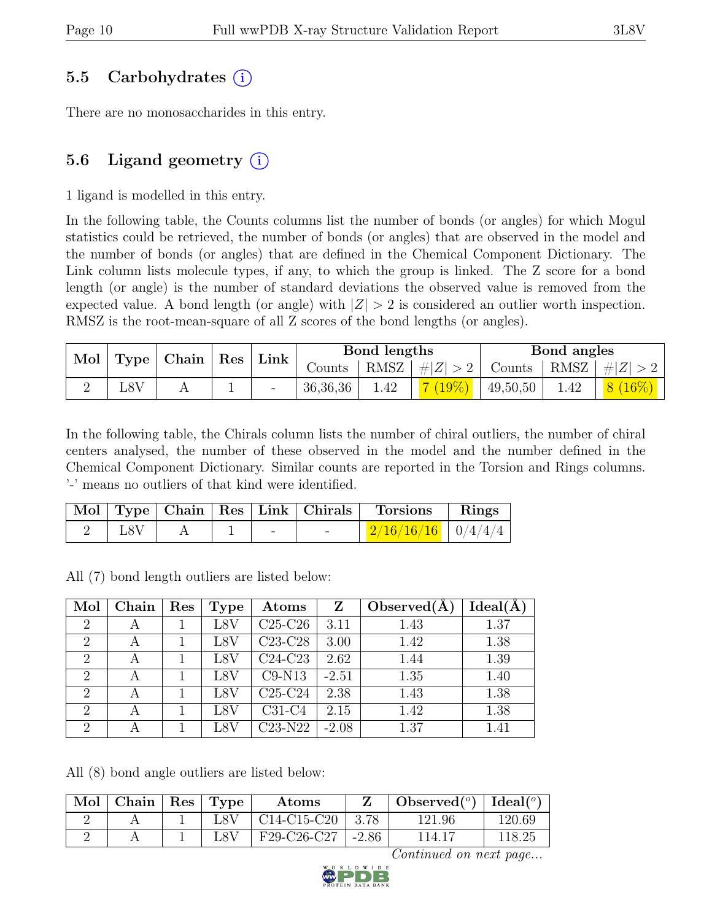### 5.5 Carbohydrates (i)

There are no monosaccharides in this entry.

### 5.6 Ligand geometry  $(i)$

1 ligand is modelled in this entry.

In the following table, the Counts columns list the number of bonds (or angles) for which Mogul statistics could be retrieved, the number of bonds (or angles) that are observed in the model and the number of bonds (or angles) that are defined in the Chemical Component Dictionary. The Link column lists molecule types, if any, to which the group is linked. The Z score for a bond length (or angle) is the number of standard deviations the observed value is removed from the expected value. A bond length (or angle) with  $|Z| > 2$  is considered an outlier worth inspection. RMSZ is the root-mean-square of all Z scores of the bond lengths (or angles).

| $\mathcal{N}$ Mol $\mid$ Type $\mid$ Chain $\mid$ Res $\mid$ |  |  |      |          |      |          |                       | Bond lengths |         |  | Bond angles |  |
|--------------------------------------------------------------|--|--|------|----------|------|----------|-----------------------|--------------|---------|--|-------------|--|
|                                                              |  |  | Link | Counts ' | RMSZ | #Z  > 2  | Counts   RMSZ $\vert$ |              | #Z  > 2 |  |             |  |
| L8V                                                          |  |  |      | 36,36,36 | 1.42 | $(19\%)$ | 49,50,50              | .42          |         |  |             |  |

In the following table, the Chirals column lists the number of chiral outliers, the number of chiral centers analysed, the number of these observed in the model and the number defined in the Chemical Component Dictionary. Similar counts are reported in the Torsion and Rings columns. '-' means no outliers of that kind were identified.

|     |  |  | Mol   Type   Chain   Res   Link   Chirals   Torsions   Rings |  |
|-----|--|--|--------------------------------------------------------------|--|
| L8V |  |  | $\mid$ 2/16/16/16 $\mid$ 0/4/4/4 $\mid$                      |  |

All (7) bond length outliers are listed below:

| Mol                         | Chain | Res | Type | Atoms     | Z       | Observed $(A)$ | Ideal(A) |
|-----------------------------|-------|-----|------|-----------|---------|----------------|----------|
| $\overline{2}$              | А     |     | L8V  | $C25-C26$ | 3.11    | 1.43           | 1.37     |
| $\overline{2}$              | А     |     | L8V  | $C23-C28$ | 3.00    | 1.42           | 1.38     |
| $\overline{2}$              |       |     | L8V  | $C24-C23$ | 2.62    | 1.44           | 1.39     |
| 2                           |       |     | L8V  | $C9-N13$  | $-2.51$ | 1.35           | 1.40     |
| $\overline{2}$              |       |     | L8V  | $C25-C24$ | 2.38    | 1.43           | 1.38     |
| $\overline{2}$              | А     |     | L8V  | $C31-C4$  | 2.15    | 1.42           | 1.38     |
| $\mathcal{D}_{\mathcal{L}}$ |       |     | L8V  | $C23-N22$ | $-2.08$ | 1.37           | 1.41     |

All (8) bond angle outliers are listed below:

| Mol | Chain | $^{\circ}$ Res | Type | Atoms         |         | Observed $(^\circ)$ | Ideal (°) |
|-----|-------|----------------|------|---------------|---------|---------------------|-----------|
|     |       |                | .8V  | $C14-C15-C20$ | 3.78    | 121.96              | 120.69    |
|     |       |                |      | F29-C26-C27   | $-2.86$ | 114.17              | 118.25    |

Continued on next page...

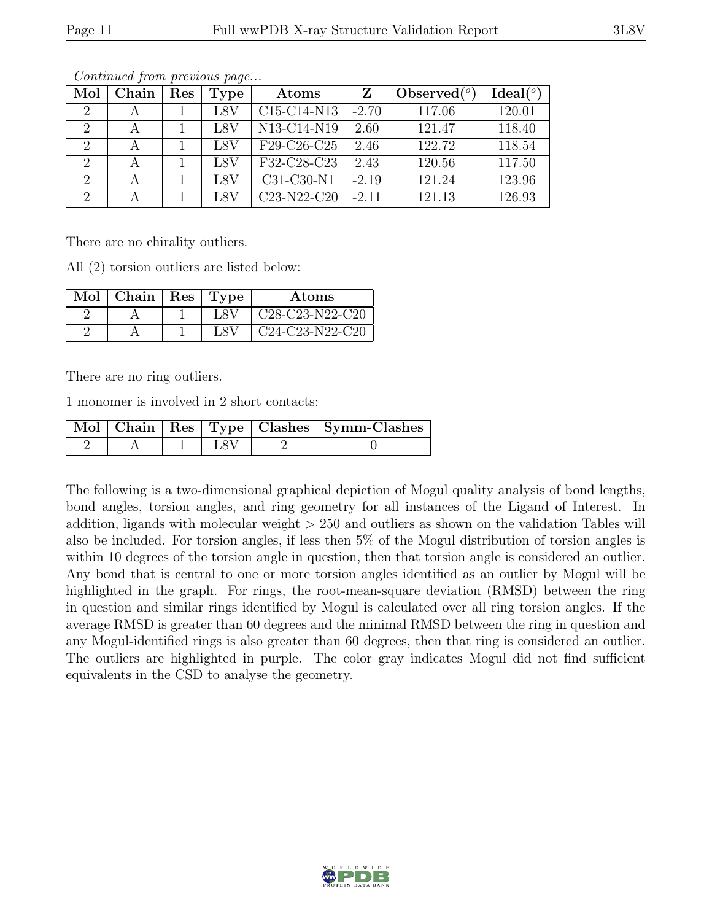| Mol            | Chain | Res | Type | Atoms                                             | Z       | Observed $(°)$ | $Ideal(^o)$ |
|----------------|-------|-----|------|---------------------------------------------------|---------|----------------|-------------|
| $\overline{2}$ |       |     | L8V  | C <sub>15</sub> -C <sub>14</sub> -N <sub>13</sub> | $-2.70$ | 117.06         | 120.01      |
| 2              |       |     | L8V  | N13-C14-N19                                       | 2.60    | 121.47         | 118.40      |
| $\overline{2}$ |       |     | L8V  | F29-C26-C25                                       | 2.46    | 122.72         | 118.54      |
| 2              |       |     | L8V  | F32-C28-C23                                       | 2.43    | 120.56         | 117.50      |
| $\overline{2}$ |       |     | L8V  | C31-C30-N1                                        | $-2.19$ | 121.24         | 123.96      |
| $\overline{2}$ |       |     | L8V  | C <sub>23</sub> -N <sub>22</sub> -C <sub>20</sub> | $-2.11$ | 121.13         | 126.93      |

Continued from previous page...

There are no chirality outliers.

All (2) torsion outliers are listed below:

| $\text{Mol}$   Chain   Res | Type | Atoms                                                              |
|----------------------------|------|--------------------------------------------------------------------|
|                            | L8A  | C <sub>28</sub> -C <sub>23</sub> -N <sub>22</sub> -C <sub>20</sub> |
|                            | L8 J | $C24-C23-N22-C20$                                                  |

There are no ring outliers.

1 monomer is involved in 2 short contacts:

|  |  | Mol   Chain   Res   Type   Clashes   Symm-Clashes |
|--|--|---------------------------------------------------|
|  |  |                                                   |

The following is a two-dimensional graphical depiction of Mogul quality analysis of bond lengths, bond angles, torsion angles, and ring geometry for all instances of the Ligand of Interest. In addition, ligands with molecular weight  $> 250$  and outliers as shown on the validation Tables will also be included. For torsion angles, if less then 5% of the Mogul distribution of torsion angles is within 10 degrees of the torsion angle in question, then that torsion angle is considered an outlier. Any bond that is central to one or more torsion angles identified as an outlier by Mogul will be highlighted in the graph. For rings, the root-mean-square deviation (RMSD) between the ring in question and similar rings identified by Mogul is calculated over all ring torsion angles. If the average RMSD is greater than 60 degrees and the minimal RMSD between the ring in question and any Mogul-identified rings is also greater than 60 degrees, then that ring is considered an outlier. The outliers are highlighted in purple. The color gray indicates Mogul did not find sufficient equivalents in the CSD to analyse the geometry.

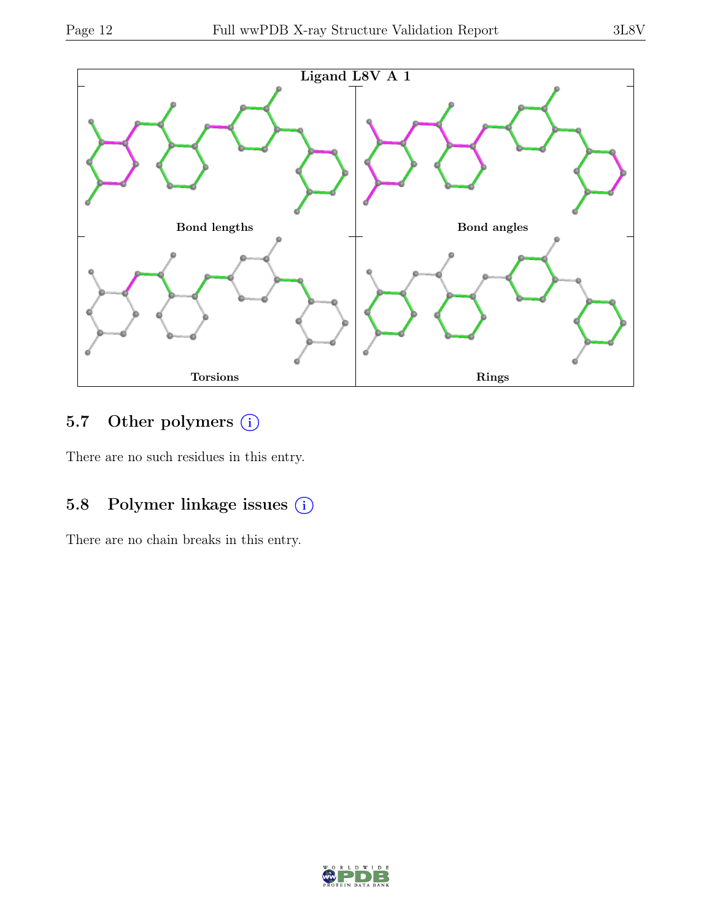

### 5.7 Other polymers (i)

There are no such residues in this entry.

## 5.8 Polymer linkage issues  $(i)$

There are no chain breaks in this entry.

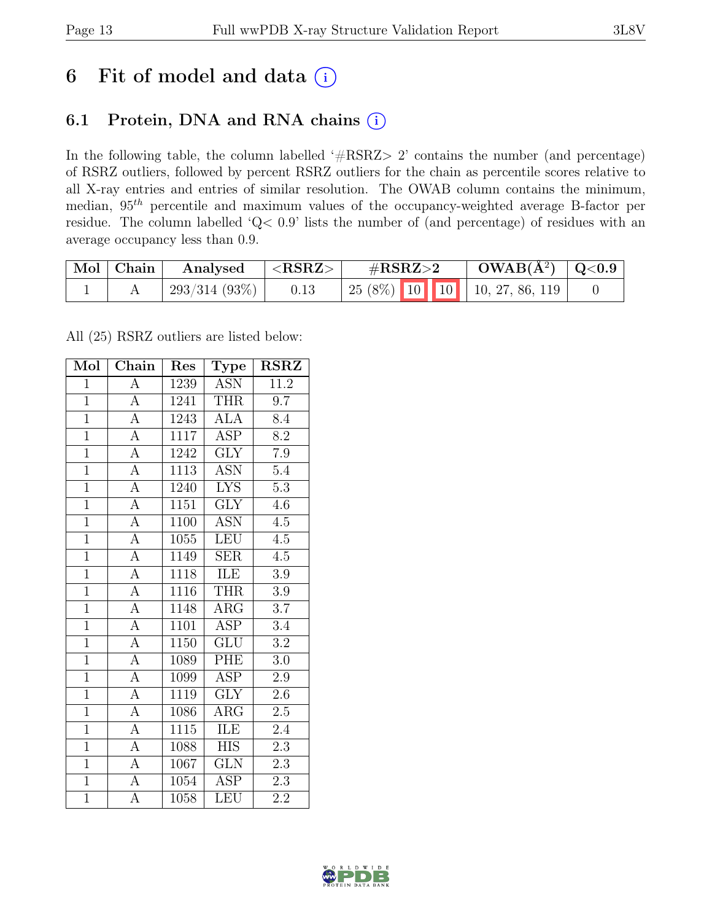## 6 Fit of model and data  $(i)$

### 6.1 Protein, DNA and RNA chains (i)

In the following table, the column labelled ' $\#\text{RSRZ}>2$ ' contains the number (and percentage) of RSRZ outliers, followed by percent RSRZ outliers for the chain as percentile scores relative to all X-ray entries and entries of similar resolution. The OWAB column contains the minimum, median, 95th percentile and maximum values of the occupancy-weighted average B-factor per residue. The column labelled 'Q< 0.9' lists the number of (and percentage) of residues with an average occupancy less than 0.9.

| Mol Chain | Analysed     | $^+$ <rsrz></rsrz> | $\#\text{RSRZ}\text{>2}$                | $\text{OWAB}(\AA^2)$   Q<0.9 |  |
|-----------|--------------|--------------------|-----------------------------------------|------------------------------|--|
|           | 293/314(93%) | 0.13               | $\mid$ 25 (8%) 10 10 10 10, 27, 86, 119 |                              |  |

All (25) RSRZ outliers are listed below:

| Mol            | Chain              | Res  | <b>Type</b>             | <b>RSRZ</b>      |
|----------------|--------------------|------|-------------------------|------------------|
| $\mathbf{1}$   | А                  | 1239 | <b>ASN</b>              | 11.2             |
| $\mathbf{1}$   | $\overline{A}$     | 1241 | <b>THR</b>              | 9.7              |
| $\overline{1}$ | $\overline{A}$     | 1243 | $\overline{\text{ALA}}$ | 8.4              |
| $\overline{1}$ | $\overline{A}$     | 1117 | <b>ASP</b>              | 8.2              |
| $\overline{1}$ | $\overline{A}$     | 1242 | $\overline{\text{GLY}}$ | $\overline{7.9}$ |
| $\mathbf{1}$   | $\overline{\rm A}$ | 1113 | <b>ASN</b>              | 5.4              |
| $\overline{1}$ | $\overline{A}$     | 1240 | <b>LYS</b>              | $\overline{5.3}$ |
| $\overline{1}$ | $\overline{A}$     | 1151 | <b>GLY</b>              | 4.6              |
| $\overline{1}$ | $\overline{A}$     | 1100 | <b>ASN</b>              | 4.5              |
| $\overline{1}$ | $\overline{A}$     | 1055 | <b>LEU</b>              | $\overline{4.5}$ |
| $\overline{1}$ | $\overline{A}$     | 1149 | <b>SER</b>              | 4.5              |
| $\overline{1}$ | $\overline{A}$     | 1118 | ILE                     | $\overline{3.9}$ |
| $\overline{1}$ | $\overline{A}$     | 1116 | THR                     | 3.9              |
| $\mathbf{1}$   | $\overline{A}$     | 1148 | $\rm{ARG}$              | 3.7              |
| $\overline{1}$ | $\overline{\rm A}$ | 1101 | <b>ASP</b>              | 3.4              |
| $\overline{1}$ | $\overline{A}$     | 1150 | $\overline{\text{GLU}}$ | 3.2              |
| $\overline{1}$ | $\overline{A}$     | 1089 | <b>PHE</b>              | $3.0\,$          |
| $\overline{1}$ | $\overline{A}$     | 1099 | <b>ASP</b>              | $2.9\,$          |
| $\mathbf{1}$   | $\overline{A}$     | 1119 | $\overline{\text{GLY}}$ | $2.6\,$          |
| $\overline{1}$ | $\overline{A}$     | 1086 | ARG                     | 2.5              |
| $\overline{1}$ | $\overline{A}$     | 1115 | ILE                     | 2.4              |
| $\overline{1}$ | $\overline{A}$     | 1088 | $\overline{\text{HIS}}$ | $\overline{2.3}$ |
| $\overline{1}$ | $\overline{A}$     | 1067 | GLN                     | 2.3              |
| $\overline{1}$ | $\overline{A}$     | 1054 | <b>ASP</b>              | $\overline{2.3}$ |
| $\overline{1}$ | A                  | 1058 | LEU                     | $\overline{2.2}$ |

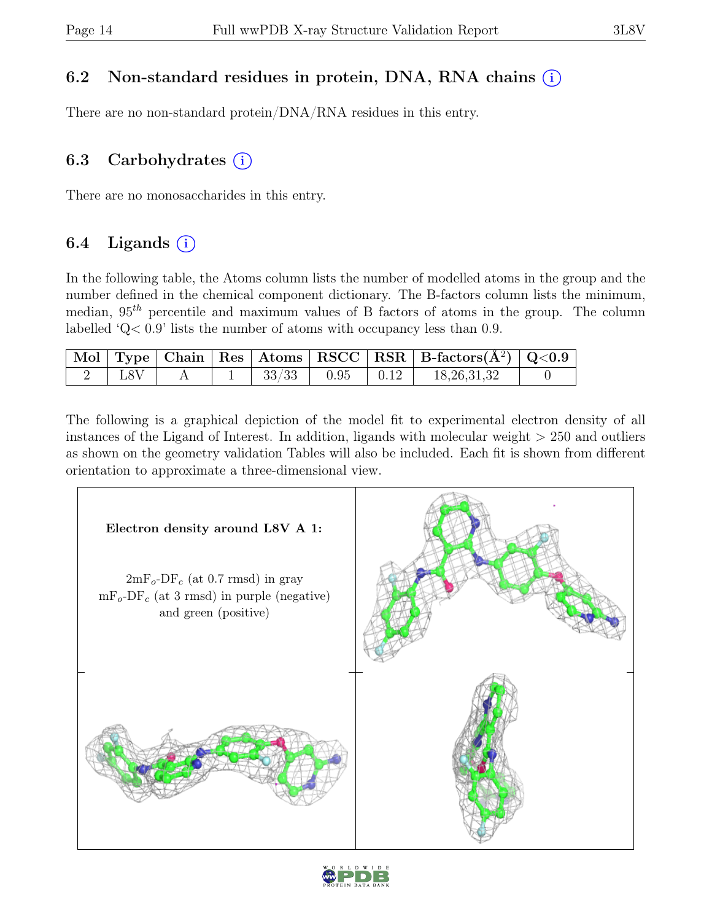### 6.2 Non-standard residues in protein, DNA, RNA chains (i)

There are no non-standard protein/DNA/RNA residues in this entry.

### 6.3 Carbohydrates  $(i)$

There are no monosaccharides in this entry.

### 6.4 Ligands  $(i)$

In the following table, the Atoms column lists the number of modelled atoms in the group and the number defined in the chemical component dictionary. The B-factors column lists the minimum, median,  $95<sup>th</sup>$  percentile and maximum values of B factors of atoms in the group. The column labelled 'Q< 0.9' lists the number of atoms with occupancy less than 0.9.

|     |  |                       | $\mid$ Mol $\mid$ Type $\mid$ Chain $\mid$ Res $\mid$ Atoms $\mid$ RSCC $\mid$ RSR $\mid$ B-factors(A <sup>2</sup> ) $\mid$ Q<0.9 |  |
|-----|--|-----------------------|-----------------------------------------------------------------------------------------------------------------------------------|--|
| L8V |  | $33/33$   0.95   0.12 | 18,26,31,32                                                                                                                       |  |

The following is a graphical depiction of the model fit to experimental electron density of all instances of the Ligand of Interest. In addition, ligands with molecular weight > 250 and outliers as shown on the geometry validation Tables will also be included. Each fit is shown from different orientation to approximate a three-dimensional view.